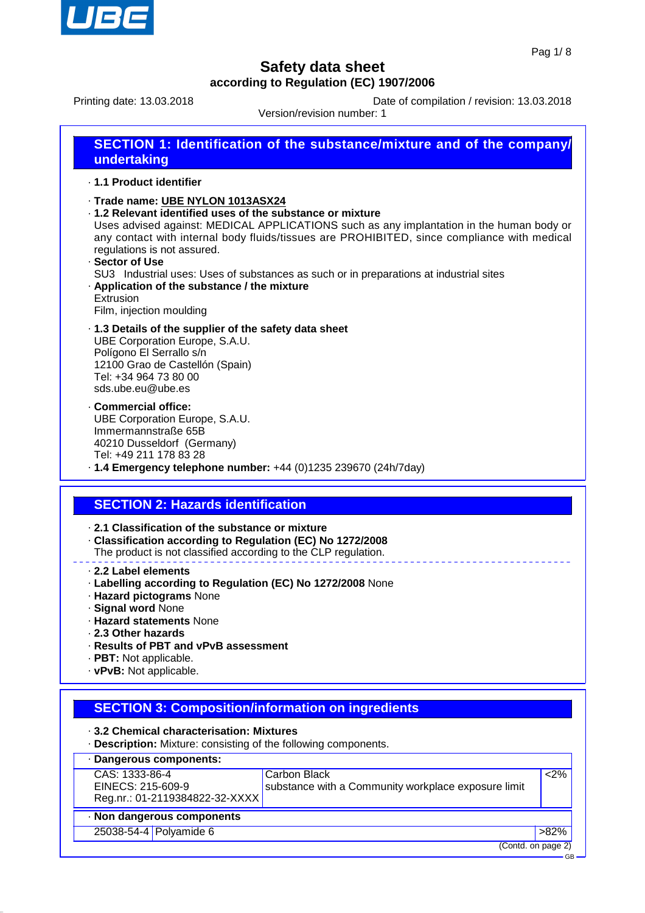

Printing date: 13.03.2018 Date of compilation / revision: 13.03.2018

Version/revision number: 1

| undertaking | <b>SECTION 1: Identification of the substance/mixture and of the company/</b> |
|-------------|-------------------------------------------------------------------------------|
|             |                                                                               |

- · **1.1 Product identifier**
- · **Trade name: UBE NYLON 1013ASX24**
- · **1.2 Relevant identified uses of the substance or mixture**

Uses advised against: MEDICAL APPLICATIONS such as any implantation in the human body or any contact with internal body fluids/tissues are PROHIBITED, since compliance with medical regulations is not assured.

· **Sector of Use** SU3 Industrial uses: Uses of substances as such or in preparations at industrial sites · **Application of the substance / the mixture** Extrusion

Film, injection moulding

- · **1.3 Details of the supplier of the safety data sheet** UBE Corporation Europe, S.A.U. Polígono El Serrallo s/n 12100 Grao de Castellón (Spain) Tel: +34 964 73 80 00 sds.ube.eu@ube.es
- · **Commercial office:** UBE Corporation Europe, S.A.U. Immermannstraße 65B 40210 Dusseldorf (Germany) Tel: +49 211 178 83 28
- · **1.4 Emergency telephone number:** +44 (0)1235 239670 (24h/7day)

## **SECTION 2: Hazards identification**

- · **2.1 Classification of the substance or mixture**
- · **Classification according to Regulation (EC) No 1272/2008**
- The product is not classified according to the CLP regulation.
- · **2.2 Label elements**
- · **Labelling according to Regulation (EC) No 1272/2008** None
- · **Hazard pictograms** None
- · **Signal word** None
- · **Hazard statements** None
- · **2.3 Other hazards**
- · **Results of PBT and vPvB assessment**
- · **PBT:** Not applicable.
- · **vPvB:** Not applicable.

## **SECTION 3: Composition/information on ingredients**

- · **3.2 Chemical characterisation: Mixtures**
- · **Description:** Mixture: consisting of the following components.

| · Dangerous components:        |                                                     |                    |
|--------------------------------|-----------------------------------------------------|--------------------|
| CAS: 1333-86-4                 | Carbon Black                                        | $<$ 2%             |
| EINECS: 215-609-9              | substance with a Community workplace exposure limit |                    |
| Reg.nr.: 01-2119384822-32-XXXX |                                                     |                    |
| · Non dangerous components     |                                                     |                    |
| 25038-54-4 Polyamide 6         |                                                     | $>82\%$            |
|                                |                                                     | (Contd. on page 2) |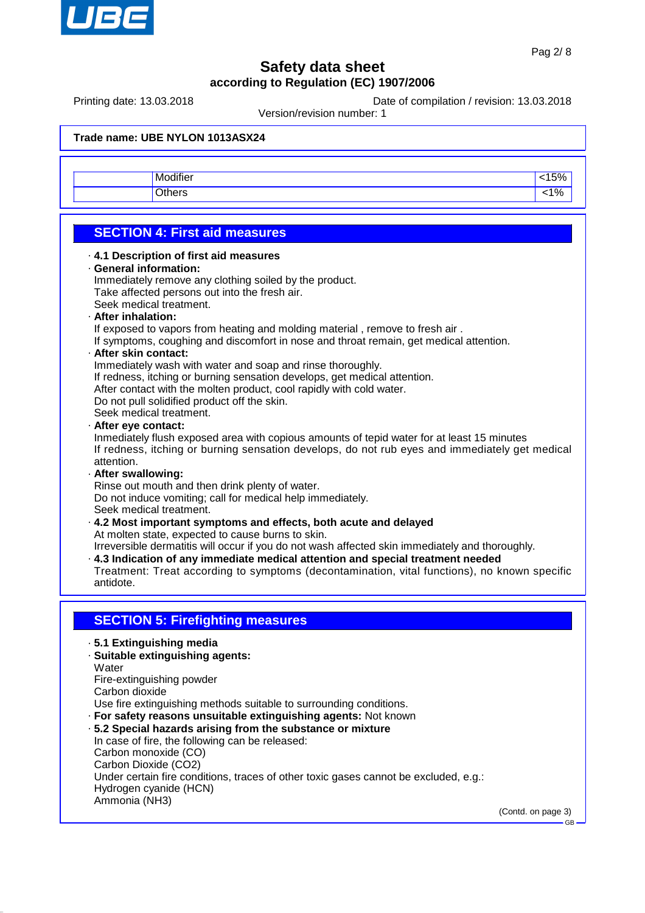

Printing date: 13.03.2018 Date of compilation / revision: 13.03.2018

Version/revision number: 1

| $\cdots$<br>difie.<br>80 A | $-\circ$          |
|----------------------------|-------------------|
| $\sim$ 1-hore              | $\sim$<br><br>, u |

# **SECTION 4: First aid measures**

· **4.1 Description of first aid measures** · **General information:** Immediately remove any clothing soiled by the product. Take affected persons out into the fresh air. Seek medical treatment. · **After inhalation:** If exposed to vapors from heating and molding material , remove to fresh air . If symptoms, coughing and discomfort in nose and throat remain, get medical attention. · **After skin contact:** Immediately wash with water and soap and rinse thoroughly. If redness, itching or burning sensation develops, get medical attention. After contact with the molten product, cool rapidly with cold water. Do not pull solidified product off the skin. Seek medical treatment. · **After eye contact:** Inmediately flush exposed area with copious amounts of tepid water for at least 15 minutes If redness, itching or burning sensation develops, do not rub eyes and immediately get medical attention. · **After swallowing:** Rinse out mouth and then drink plenty of water. Do not induce vomiting; call for medical help immediately. Seek medical treatment. · **4.2 Most important symptoms and effects, both acute and delayed** At molten state, expected to cause burns to skin. Irreversible dermatitis will occur if you do not wash affected skin immediately and thoroughly. · **4.3 Indication of any immediate medical attention and special treatment needed** Treatment: Treat according to symptoms (decontamination, vital functions), no known specific antidote. **SECTION 5: Firefighting measures** · **5.1 Extinguishing media** · **Suitable extinguishing agents:** Water Fire-extinguishing powder Carbon dioxide Use fire extinguishing methods suitable to surrounding conditions. · **For safety reasons unsuitable extinguishing agents:** Not known · **5.2 Special hazards arising from the substance or mixture** In case of fire, the following can be released: Carbon monoxide (CO) Carbon Dioxide (CO2) Under certain fire conditions, traces of other toxic gases cannot be excluded, e.g.: Hydrogen cyanide (HCN) Ammonia (NH3)

(Contd. on page 3)

GB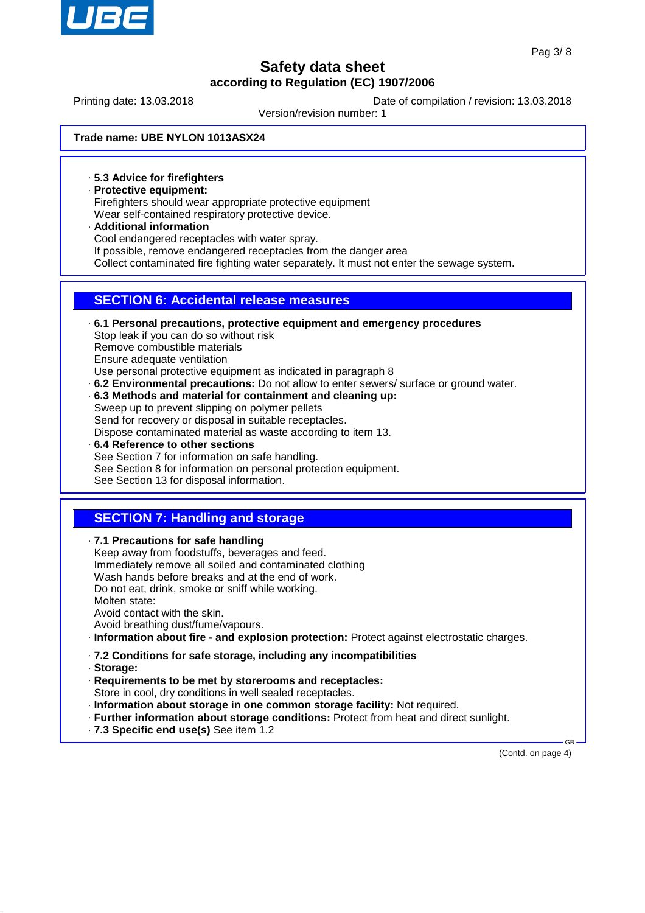

Printing date: 13.03.2018 Date of compilation / revision: 13.03.2018

Version/revision number: 1

### **Trade name: UBE NYLON 1013ASX24**

· **5.3 Advice for firefighters**

- · **Protective equipment:** Firefighters should wear appropriate protective equipment Wear self-contained respiratory protective device.
- · **Additional information** Cool endangered receptacles with water spray. If possible, remove endangered receptacles from the danger area Collect contaminated fire fighting water separately. It must not enter the sewage system.

## **SECTION 6: Accidental release measures**

- · **6.1 Personal precautions, protective equipment and emergency procedures** Stop leak if you can do so without risk Remove combustible materials Ensure adequate ventilation Use personal protective equipment as indicated in paragraph 8 · **6.2 Environmental precautions:** Do not allow to enter sewers/ surface or ground water.
- · **6.3 Methods and material for containment and cleaning up:** Sweep up to prevent slipping on polymer pellets Send for recovery or disposal in suitable receptacles.

Dispose contaminated material as waste according to item 13.

· **6.4 Reference to other sections** See Section 7 for information on safe handling. See Section 8 for information on personal protection equipment. See Section 13 for disposal information.

## **SECTION 7: Handling and storage**

· **7.1 Precautions for safe handling**

Keep away from foodstuffs, beverages and feed. Immediately remove all soiled and contaminated clothing Wash hands before breaks and at the end of work. Do not eat, drink, smoke or sniff while working. Molten state: Avoid contact with the skin. Avoid breathing dust/fume/vapours. · **Information about fire - and explosion protection:** Protect against electrostatic charges.

- · **7.2 Conditions for safe storage, including any incompatibilities**
- · **Storage:**
- · **Requirements to be met by storerooms and receptacles:** Store in cool, dry conditions in well sealed receptacles.
- · **Information about storage in one common storage facility:** Not required.
- · **Further information about storage conditions:** Protect from heat and direct sunlight.
- · **7.3 Specific end use(s)** See item 1.2

(Contd. on page 4)

GB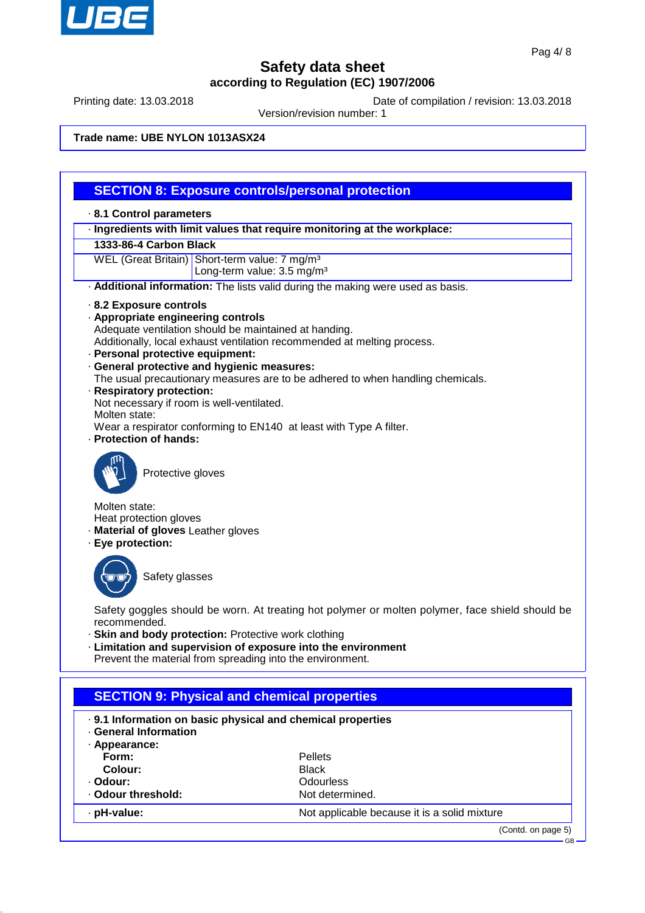

Printing date: 13.03.2018 Date of compilation / revision: 13.03.2018

Version/revision number: 1

### **Trade name: UBE NYLON 1013ASX24**

## **SECTION 8: Exposure controls/personal protection**

#### · **8.1 Control parameters**

· **Ingredients with limit values that require monitoring at the workplace:**

### **1333-86-4 Carbon Black**

WEL (Great Britain) Short-term value: 7 mg/m<sup>3</sup>

Long-term value: 3.5 mg/m<sup>3</sup>

- · **Additional information:** The lists valid during the making were used as basis.
- · **8.2 Exposure controls**
- · **Appropriate engineering controls**

Adequate ventilation should be maintained at handing.

Additionally, local exhaust ventilation recommended at melting process.

- · **Personal protective equipment:**
- · **General protective and hygienic measures:**

The usual precautionary measures are to be adhered to when handling chemicals.

· **Respiratory protection:**

Not necessary if room is well-ventilated.

Molten state:

Wear a respirator conforming to EN140 at least with Type A filter.

· **Protection of hands:**



Protective gloves

Molten state:

- Heat protection gloves
- · **Material of gloves** Leather gloves
- · **Eye protection:**



Safety glasses

Safety goggles should be worn. At treating hot polymer or molten polymer, face shield should be recommended.

- · **Skin and body protection:** Protective work clothing
- · **Limitation and supervision of exposure into the environment**

Prevent the material from spreading into the environment.

| <b>SECTION 9: Physical and chemical properties</b>                                        |                                              |  |
|-------------------------------------------------------------------------------------------|----------------------------------------------|--|
| . 9.1 Information on basic physical and chemical properties<br><b>General Information</b> |                                              |  |
| · Appearance:<br>Form:                                                                    | <b>Pellets</b>                               |  |
| Colour:                                                                                   | <b>Black</b>                                 |  |
| · Odour:                                                                                  | Odourless                                    |  |
| . Odour threshold:                                                                        | Not determined.                              |  |
| · pH-value:                                                                               | Not applicable because it is a solid mixture |  |
|                                                                                           | (Contd. on page 5)                           |  |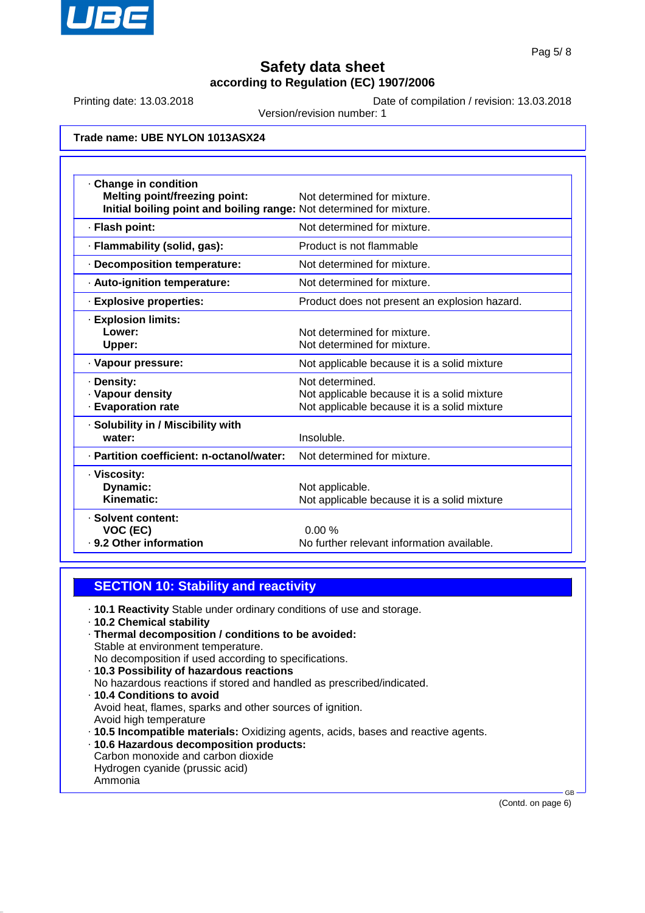

Printing date: 13.03.2018 Date of compilation / revision: 13.03.2018

Version/revision number: 1

### **Trade name: UBE NYLON 1013ASX24**

| Change in condition<br><b>Melting point/freezing point:</b><br>Initial boiling point and boiling range: Not determined for mixture. | Not determined for mixture.                                                                                     |
|-------------------------------------------------------------------------------------------------------------------------------------|-----------------------------------------------------------------------------------------------------------------|
| · Flash point:                                                                                                                      | Not determined for mixture.                                                                                     |
| · Flammability (solid, gas):                                                                                                        | Product is not flammable                                                                                        |
| · Decomposition temperature:                                                                                                        | Not determined for mixture.                                                                                     |
| · Auto-ignition temperature:                                                                                                        | Not determined for mixture.                                                                                     |
| · Explosive properties:                                                                                                             | Product does not present an explosion hazard.                                                                   |
| · Explosion limits:<br>Lower:<br>Upper:                                                                                             | Not determined for mixture.<br>Not determined for mixture.                                                      |
| · Vapour pressure:                                                                                                                  | Not applicable because it is a solid mixture                                                                    |
| · Density:<br>· Vapour density<br><b>Evaporation rate</b>                                                                           | Not determined.<br>Not applicable because it is a solid mixture<br>Not applicable because it is a solid mixture |
| · Solubility in / Miscibility with<br>water:                                                                                        | Insoluble.                                                                                                      |
| · Partition coefficient: n-octanol/water:                                                                                           | Not determined for mixture.                                                                                     |
| · Viscosity:<br>Dynamic:<br>Kinematic:                                                                                              | Not applicable.<br>Not applicable because it is a solid mixture                                                 |
| · Solvent content:<br>VOC (EC)<br>· 9.2 Other information                                                                           | 0.00%<br>No further relevant information available.                                                             |

## **SECTION 10: Stability and reactivity**

- · **10.1 Reactivity** Stable under ordinary conditions of use and storage.
- · **10.2 Chemical stability**
- · **Thermal decomposition / conditions to be avoided:** Stable at environment temperature.
- No decomposition if used according to specifications.
- · **10.3 Possibility of hazardous reactions** No hazardous reactions if stored and handled as prescribed/indicated. · **10.4 Conditions to avoid** Avoid heat, flames, sparks and other sources of ignition. Avoid high temperature · **10.5 Incompatible materials:** Oxidizing agents, acids, bases and reactive agents. · **10.6 Hazardous decomposition products:**
- Carbon monoxide and carbon dioxide
- Hydrogen cyanide (prussic acid) Ammonia
- 

(Contd. on page 6)

GB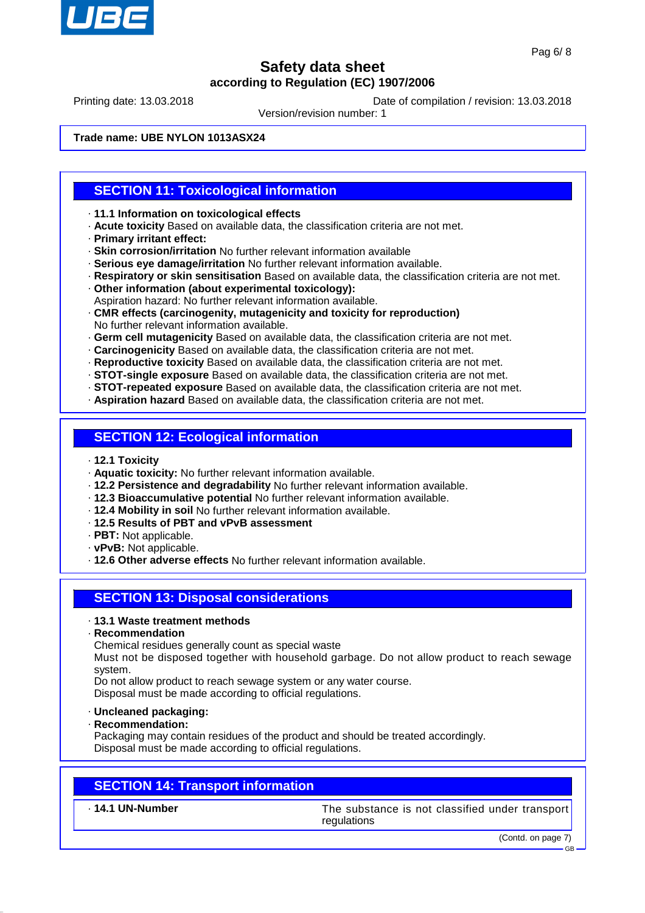

Printing date: 13.03.2018 Date of compilation / revision: 13.03.2018

Version/revision number: 1

**Trade name: UBE NYLON 1013ASX24**

## **SECTION 11: Toxicological information**

- · **11.1 Information on toxicological effects**
- · **Acute toxicity** Based on available data, the classification criteria are not met.
- · **Primary irritant effect:**
- · **Skin corrosion/irritation** No further relevant information available
- · **Serious eye damage/irritation** No further relevant information available.
- · **Respiratory or skin sensitisation** Based on available data, the classification criteria are not met.
- · **Other information (about experimental toxicology):**
- Aspiration hazard: No further relevant information available.
- · **CMR effects (carcinogenity, mutagenicity and toxicity for reproduction)** No further relevant information available.
- · **Germ cell mutagenicity** Based on available data, the classification criteria are not met.
- · **Carcinogenicity** Based on available data, the classification criteria are not met.
- · **Reproductive toxicity** Based on available data, the classification criteria are not met.
- · **STOT-single exposure** Based on available data, the classification criteria are not met.
- · **STOT-repeated exposure** Based on available data, the classification criteria are not met.
- · **Aspiration hazard** Based on available data, the classification criteria are not met.

## **SECTION 12: Ecological information**

- · **12.1 Toxicity**
- · **Aquatic toxicity:** No further relevant information available.
- · **12.2 Persistence and degradability** No further relevant information available.
- · **12.3 Bioaccumulative potential** No further relevant information available.
- · **12.4 Mobility in soil** No further relevant information available.
- · **12.5 Results of PBT and vPvB assessment**
- · **PBT:** Not applicable.
- · **vPvB:** Not applicable.
- · **12.6 Other adverse effects** No further relevant information available.

## **SECTION 13: Disposal considerations**

#### · **13.1 Waste treatment methods**

· **Recommendation**

Chemical residues generally count as special waste

Must not be disposed together with household garbage. Do not allow product to reach sewage system.

Do not allow product to reach sewage system or any water course.

Disposal must be made according to official regulations.

- · **Uncleaned packaging:**
- · **Recommendation:**

Packaging may contain residues of the product and should be treated accordingly. Disposal must be made according to official regulations.

## **SECTION 14: Transport information**

· **14.1 UN-Number** The substance is not classified under transport regulations

(Contd. on page 7)

GB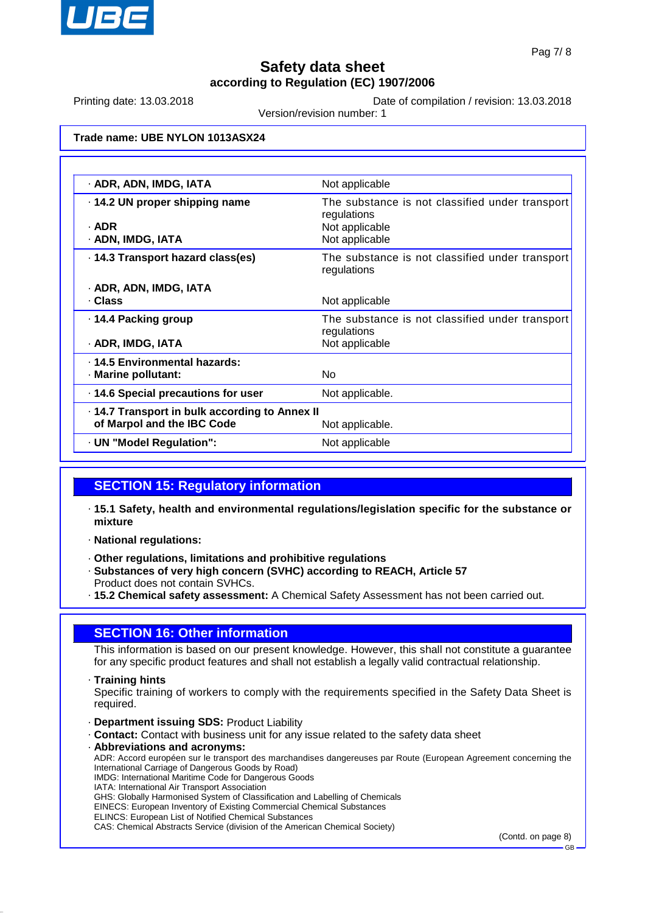

Printing date: 13.03.2018 Date of compilation / revision: 13.03.2018

Version/revision number: 1

## **Trade name: UBE NYLON 1013ASX24**

| · ADR, ADN, IMDG, IATA                                                     | Not applicable                                                                                     |
|----------------------------------------------------------------------------|----------------------------------------------------------------------------------------------------|
| 14.2 UN proper shipping name<br>· ADR<br>· ADN, IMDG, IATA                 | The substance is not classified under transport<br>regulations<br>Not applicable<br>Not applicable |
| · 14.3 Transport hazard class(es)                                          | The substance is not classified under transport<br>regulations                                     |
| · ADR, ADN, IMDG, IATA                                                     |                                                                                                    |
|                                                                            |                                                                                                    |
| · Class                                                                    | Not applicable                                                                                     |
| ⋅ 14.4 Packing group                                                       | The substance is not classified under transport                                                    |
|                                                                            |                                                                                                    |
| · ADR, IMDG, IATA                                                          | regulations<br>Not applicable                                                                      |
|                                                                            |                                                                                                    |
| · 14.5 Environmental hazards:<br>· Marine pollutant:                       | No.                                                                                                |
| 14.6 Special precautions for user                                          | Not applicable.                                                                                    |
|                                                                            |                                                                                                    |
| 14.7 Transport in bulk according to Annex II<br>of Marpol and the IBC Code | Not applicable.                                                                                    |
| · UN "Model Regulation":                                                   | Not applicable                                                                                     |

## **SECTION 15: Regulatory information**

- · **15.1 Safety, health and environmental regulations/legislation specific for the substance or mixture**
- · **National regulations:**
- · **Other regulations, limitations and prohibitive regulations**
- · **Substances of very high concern (SVHC) according to REACH, Article 57** Product does not contain SVHCs.
- · **15.2 Chemical safety assessment:** A Chemical Safety Assessment has not been carried out.

## **SECTION 16: Other information**

This information is based on our present knowledge. However, this shall not constitute a guarantee for any specific product features and shall not establish a legally valid contractual relationship.

· **Training hints**

Specific training of workers to comply with the requirements specified in the Safety Data Sheet is required.

- · **Department issuing SDS:** Product Liability
- · **Contact:** Contact with business unit for any issue related to the safety data sheet
- · **Abbreviations and acronyms:** ADR: Accord européen sur le transport des marchandises dangereuses par Route (European Agreement concerning the International Carriage of Dangerous Goods by Road) IMDG: International Maritime Code for Dangerous Goods IATA: International Air Transport Association GHS: Globally Harmonised System of Classification and Labelling of Chemicals EINECS: European Inventory of Existing Commercial Chemical Substances ELINCS: European List of Notified Chemical Substances CAS: Chemical Abstracts Service (division of the American Chemical Society)

(Contd. on page 8)

GB